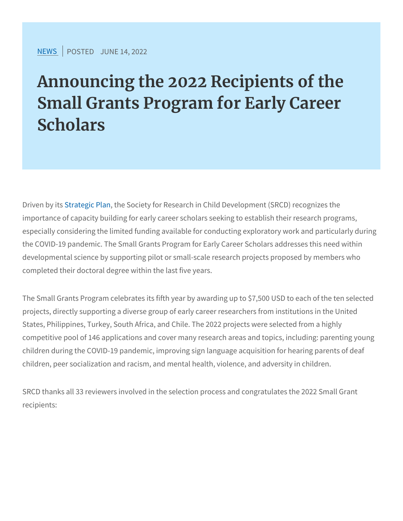[NEW](https://www.srcd.org/news)SPOSTEJOUNE 14, 2022

Announcing the 2022 Recipients Small Grants Program for Early Scholars

Driven boy triat begic Phlan Society for Research in Child Development (SI importance of capacity building for early career scholars seeking to especially considering the limited funding available for conducting the COVID-19 pandemic. The Small Grants Program for Early Caree developmental science by supporting pilot or small-scale research completed their doctoral degree within the last five years.

The Small Grants Program celebrates its fifth year by awarding up projects, directly supporting a diverse group of early career resear States, Philippines, Turkey, South Africa, and Chile. The 2022 proj competitive pool of 146 applications and cover many research areas children during the COVID-19 pandemic, improving sign language ap children, peer socialization and racism, and mental health, violence

SRCD thanks all 33 reviewers involved in the selection process and recipients: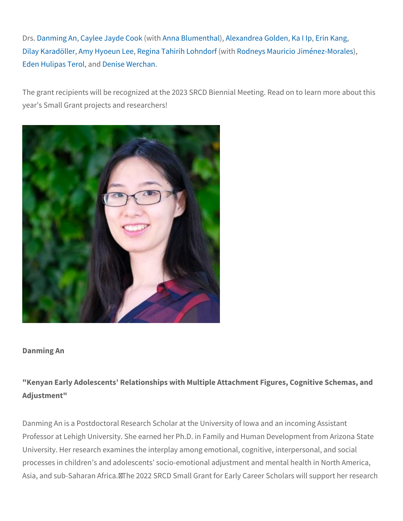DrsDanming Calynlee Jayd (ew DAobnonka Blum)e,Ahltehxaalndrea, KS on Ib Happin Kang Dilay Kara Admön Mehryoeun Relgienea Tahirih (Lwoi Rhondon nefys Mauricio Jim) én ez-Mo Eden HulipasanDeternoilse Werchan

The grant recipients will be recognized at the 2023 SRCD Biennial year s Small Grant projects and researchers!

Danming An

"Kenyan Early Adolescents Relationships with Multiple Attachment Adjustment"

Danming An is a Postdoctoral Research Scholar at the University of Professor at Lehigh University. She earned her Ph.D. in Family and University. Her research examines the interplay among emotional, o processes in children s and adolescents socio-emotional adjustment Asia, and sub-Saharan Africa./The 2022 SRCD Small Grant for Early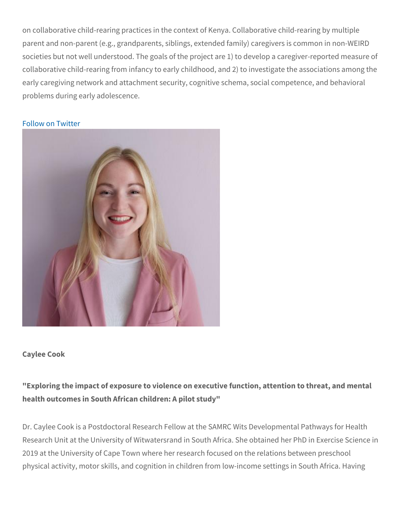on collaborative child-rearing practices in the context of Kenya. Co parent and non-parent (e.g., grandparents, siblings, extended famil societies but not well understood. The goals of the project are 1) t collaborative child-rearing from infancy to early childhood, and 2) early caregiving network and attachment security, cognitive schema problems during early adolescence.

[Follow on](https://twitter.com/DanmingAn) Twitter

Caylee Cook

"Exploring the impact of exposure to violence on executive function health outcomes in South African children: A pilot study"

Dr. Caylee Cook is a Postdoctoral Research Fellow at the SAMRC W Research Unit at the University of Witwatersrand in South Africa. S 2019 at the University of Cape Town where her research focused or physical activity, motor skills, and cognition in children from low-in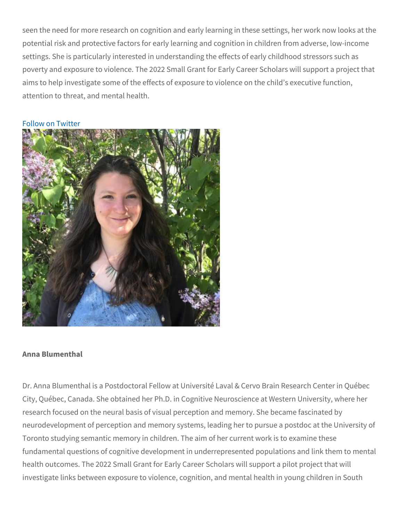seen the need for more research on cognition and early learning in potential risk and protective factors for early learning and cognitio settings. She is particularly interested in understanding the effects poverty and exposure to violence. The 2022 Small Grant for Early C aims to help investigate some of the effects of exposure to violenc attention to threat, and mental health.

[Follow on](https://twitter.com/cayls_cook) Twitter

Anna Blumenthal

Dr. Anna Blumenthal is a Postdoctoral Fellow at Université Laval & City, Québec, Canada. She obtained her Ph.D. in Cognitive Neuroso research focused on the neural basis of visual perception and mem neurodevelopment of perception and memory systems, leading her t Toronto studying semantic memory in children. The aim of her curre fundamental questions of cognitive development in underrepresente health outcomes. The 2022 Small Grant for Early Career Scholars w investigate links between exposure to violence, cognition, and men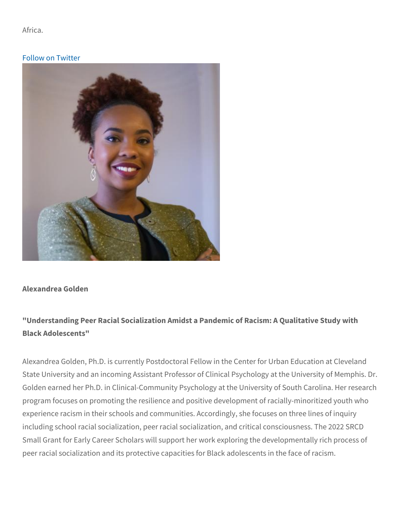Africa.

[Follow on](https://twitter.com/AnnaBlumenthal2) Twitter

Alexandrea Golden

"Understanding Peer Racial Socialization Amidst a Pandemic of Rac Black Adolescents"

Alexandrea Golden, Ph.D. is currently Postdoctoral Fellow in the C State University and an incoming Assistant Professor of Clinical Ps Golden earned her Ph.D. in Clinical-Community Psychology at the U program focuses on promoting the resilience and positive developm experience racism in their schools and communities. Accordingly, s including school racial socialization, peer racial socialization, and Small Grant for Early Career Scholars will support her work explori peer racial socialization and its protective capacities for Black adc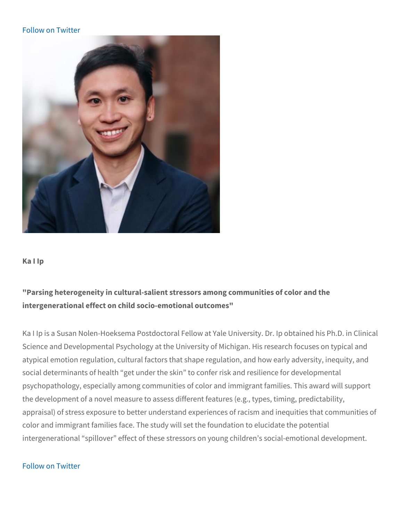Ka I Ip

"Parsing heterogeneity in cultural-salient stressors among communi intergenerational effect on child socio-emotional outcomes"

Ka I Ip is a Susan Nolen-Hoeksema Postdoctoral Fellow at Yale Uni Science and Developmental Psychology at the University of Michiga atypical emotion regulation, cultural factors that shape regulation, social determinants of health get under the skin to confer risk an psychopathology, especially among communities of color and immig the development of a novel measure to assess different features (e.g., the development of a novel measure to assess different features (e.g., the development of a novel measure appraisal) of stress exposure to better understand experiences of r color and immigrant families face. The study will set the foundatior intergenerational spillover effect of these stressors on young chil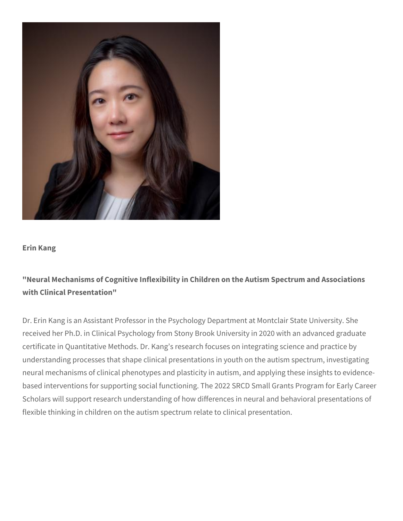

#### **Erin Kang**

# **"Neural Mechanisms of Cognitive Inflexibility in Children on the Autism Spectrum and Associations with Clinical Presentation"**

Dr. Erin Kang is an Assistant Professor in the Psychology Department at Montclair State University. She received her Ph.D. in Clinical Psychology from Stony Brook University in 2020 with an advanced graduate certificate in Quantitative Methods. Dr. Kang's research focuses on integrating science and practice by understanding processes that shape clinical presentations in youth on the autism spectrum, investigating neural mechanisms of clinical phenotypes and plasticity in autism, and applying these insights to evidencebased interventions for supporting social functioning. The 2022 SRCD Small Grants Program for Early Career Scholars will support research understanding of how differences in neural and behavioral presentations of flexible thinking in children on the autism spectrum relate to clinical presentation.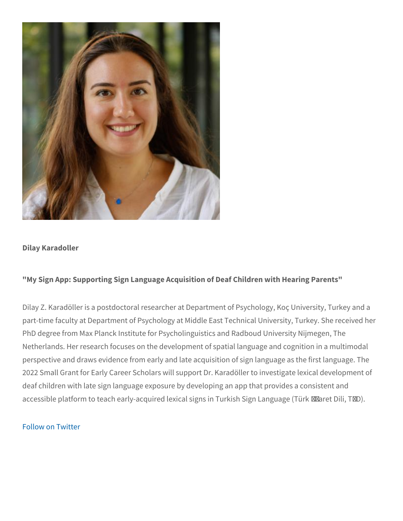Dilay Karadoller

"My Sign App: Supporting Sign Language Acquisition of Deaf Childr

Dilay Z. Karadöller is a postdoctoral researcher at Department of P part-time faculty at Department of Psychology at Middle East Techn PhD degree from Max Planck Institute for Psycholinguistics and Rad Netherlands. Her research focuses on the development of spatial la perspective and draws evidence from early and late acquisition of s 2022 Small Grant for Early Career Scholars will support Dr. Karadö deaf children with late sign language exposure by developing an ap accessible platform to teach early-acquired lexical signs in Turkish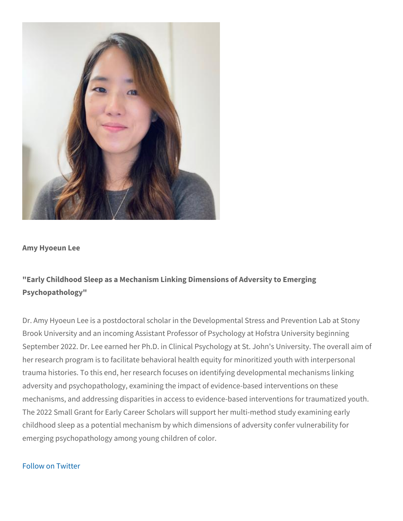Amy Hyoeun Lee

"Early Childhood Sleep as a Mechanism Linking Dimensions of Adve Psychopathology"

Dr. Amy Hyoeun Lee is a postdoctoral scholar in the Developmental Brook University and an incoming Assistant Professor of Psycholog September 2022. Dr. Lee earned her Ph.D. in Clinical Psychology a her research program is to facilitate behavioral health equity for m trauma histories. To this end, her research focuses on identifying d adversity and psychopathology, examining the impact of evidence-b mechanisms, and addressing disparities in access to evidence-base The 2022 Small Grant for Early Career Scholars will support her mu childhood sleep as a potential mechanism by which dimensions of a emerging psychopathology among young children of color.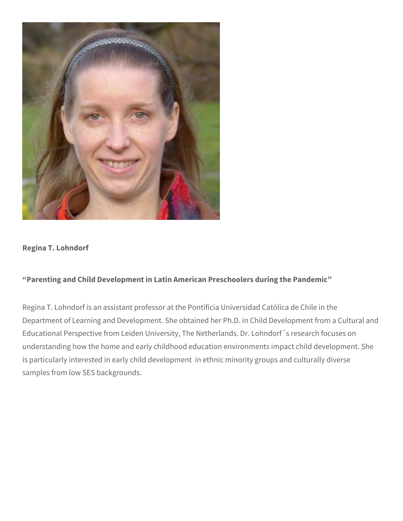

## **Regina T. Lohndorf**

## **"Parenting and Child Development in Latin American Preschoolers during the Pandemic"**

Regina T. Lohndorf is an assistant professor at the Pontificia Universidad Católica de Chile in the Department of Learning and Development. She obtained her Ph.D. in Child Development from a Cultural and Educational Perspective from Leiden University, The Netherlands. Dr. Lohndorf´s research focuses on understanding how the home and early childhood education environments impact child development. She is particularly interested in early child development in ethnic minority groups and culturally diverse samples from low SES backgrounds.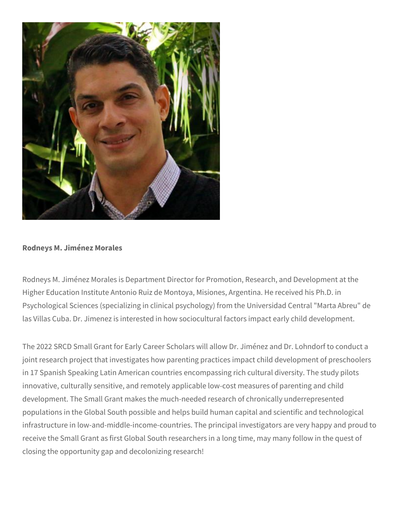

### **Rodneys M. Jiménez Morales**

Rodneys M. Jiménez Morales is Department Director for Promotion, Research, and Development at the Higher Education Institute Antonio Ruiz de Montoya, Misiones, Argentina. He received his Ph.D. in Psychological Sciences (specializing in clinical psychology) from the Universidad Central "Marta Abreu" de las Villas Cuba. Dr. Jimenez is interested in how sociocultural factors impact early child development.

The 2022 SRCD Small Grant for Early Career Scholars will allow Dr. Jiménez and Dr. Lohndorf to conduct a joint research project that investigates how parenting practices impact child development of preschoolers in 17 Spanish Speaking Latin American countries encompassing rich cultural diversity. The study pilots innovative, culturally sensitive, and remotely applicable low-cost measures of parenting and child development. The Small Grant makes the much-needed research of chronically underrepresented populations in the Global South possible and helps build human capital and scientific and technological infrastructure in low-and-middle-income-countries. The principal investigators are very happy and proud to receive the Small Grant as first Global South researchers in a long time, may many follow in the quest of closing the opportunity gap and decolonizing research!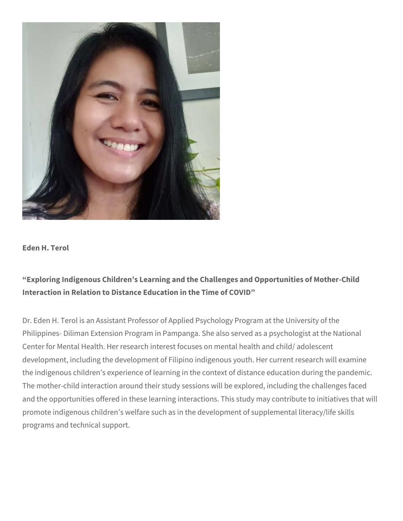

#### **Eden H. Terol**

# **"Exploring Indigenous Children's Learning and the Challenges and Opportunities of Mother-Child Interaction in Relation to Distance Education in the Time of COVID"**

Dr. Eden H. Terol is an Assistant Professor of Applied Psychology Program at the University of the Philippines- Diliman Extension Program in Pampanga. She also served as a psychologist at the National Center for Mental Health. Her research interest focuses on mental health and child/ adolescent development, including the development of Filipino indigenous youth. Her current research will examine the indigenous children's experience of learning in the context of distance education during the pandemic. The mother-child interaction around their study sessions will be explored, including the challenges faced and the opportunities offered in these learning interactions. This study may contribute to initiatives that will promote indigenous children's welfare such as in the development of supplemental literacy/life skills programs and technical support.